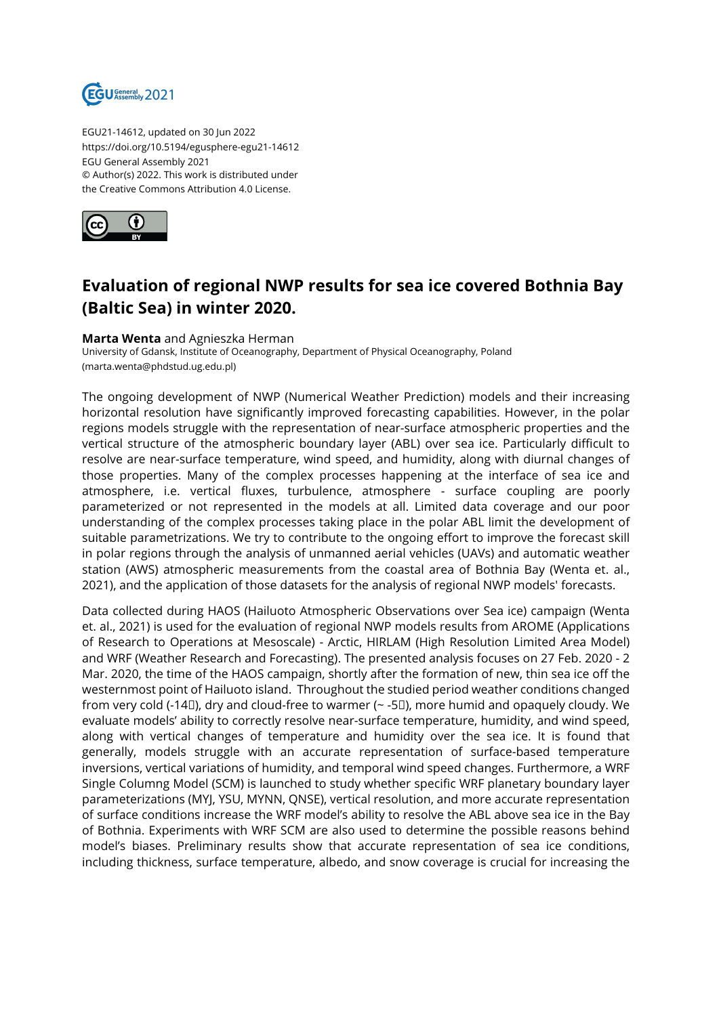

EGU21-14612, updated on 30 Jun 2022 https://doi.org/10.5194/egusphere-egu21-14612 EGU General Assembly 2021 © Author(s) 2022. This work is distributed under the Creative Commons Attribution 4.0 License.



## **Evaluation of regional NWP results for sea ice covered Bothnia Bay (Baltic Sea) in winter 2020.**

## **Marta Wenta** and Agnieszka Herman

University of Gdansk, Institute of Oceanography, Department of Physical Oceanography, Poland (marta.wenta@phdstud.ug.edu.pl)

The ongoing development of NWP (Numerical Weather Prediction) models and their increasing horizontal resolution have significantly improved forecasting capabilities. However, in the polar regions models struggle with the representation of near-surface atmospheric properties and the vertical structure of the atmospheric boundary layer (ABL) over sea ice. Particularly difficult to resolve are near-surface temperature, wind speed, and humidity, along with diurnal changes of those properties. Many of the complex processes happening at the interface of sea ice and atmosphere, i.e. vertical fluxes, turbulence, atmosphere - surface coupling are poorly parameterized or not represented in the models at all. Limited data coverage and our poor understanding of the complex processes taking place in the polar ABL limit the development of suitable parametrizations. We try to contribute to the ongoing effort to improve the forecast skill in polar regions through the analysis of unmanned aerial vehicles (UAVs) and automatic weather station (AWS) atmospheric measurements from the coastal area of Bothnia Bay (Wenta et. al., 2021), and the application of those datasets for the analysis of regional NWP models' forecasts.

Data collected during HAOS (Hailuoto Atmospheric Observations over Sea ice) campaign (Wenta et. al., 2021) is used for the evaluation of regional NWP models results from AROME (Applications of Research to Operations at Mesoscale) - Arctic, HIRLAM (High Resolution Limited Area Model) and WRF (Weather Research and Forecasting). The presented analysis focuses on 27 Feb. 2020 - 2 Mar. 2020, the time of the HAOS campaign, shortly after the formation of new, thin sea ice off the westernmost point of Hailuoto island. Throughout the studied period weather conditions changed from very cold (-14□), dry and cloud-free to warmer (~ -5□), more humid and opaquely cloudy. We evaluate models' ability to correctly resolve near-surface temperature, humidity, and wind speed, along with vertical changes of temperature and humidity over the sea ice. It is found that generally, models struggle with an accurate representation of surface-based temperature inversions, vertical variations of humidity, and temporal wind speed changes. Furthermore, a WRF Single Columng Model (SCM) is launched to study whether specific WRF planetary boundary layer parameterizations (MYJ, YSU, MYNN, QNSE), vertical resolution, and more accurate representation of surface conditions increase the WRF model's ability to resolve the ABL above sea ice in the Bay of Bothnia. Experiments with WRF SCM are also used to determine the possible reasons behind model's biases. Preliminary results show that accurate representation of sea ice conditions, including thickness, surface temperature, albedo, and snow coverage is crucial for increasing the